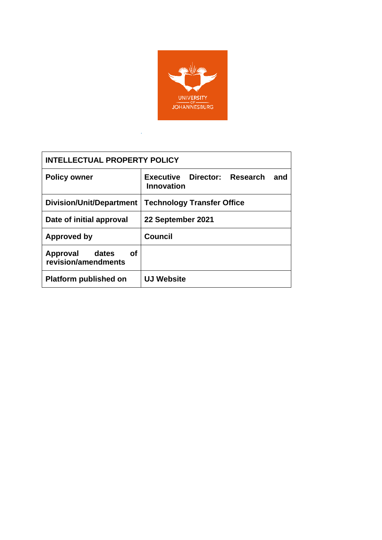

| <b>INTELLECTUAL PROPERTY POLICY</b>            |                                                   |  |  |
|------------------------------------------------|---------------------------------------------------|--|--|
| <b>Policy owner</b>                            | Executive Director: Research<br>and<br>Innovation |  |  |
| Division/Unit/Department                       | <b>Technology Transfer Office</b>                 |  |  |
| Date of initial approval                       | 22 September 2021                                 |  |  |
| Approved by                                    | <b>Council</b>                                    |  |  |
| οf<br>Approval<br>dates<br>revision/amendments |                                                   |  |  |
| <b>Platform published on</b>                   | <b>UJ Website</b>                                 |  |  |

*.*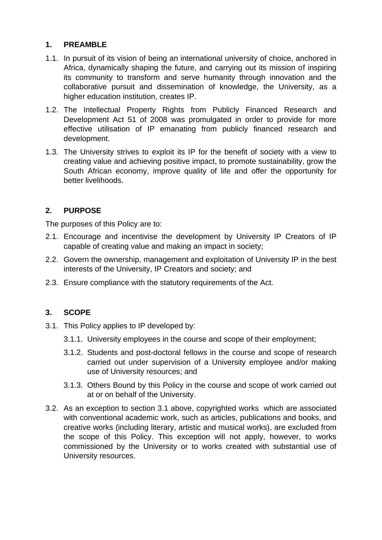# **1. PREAMBLE**

- 1.1. In pursuit of its vision of being an international university of choice, anchored in Africa, dynamically shaping the future, and carrying out its mission of inspiring its community to transform and serve humanity through innovation and the collaborative pursuit and dissemination of knowledge, the University, as a higher education institution, creates IP.
- 1.2. The Intellectual Property Rights from Publicly Financed Research and Development Act 51 of 2008 was promulgated in order to provide for more effective utilisation of IP emanating from publicly financed research and development.
- 1.3. The University strives to exploit its IP for the benefit of society with a view to creating value and achieving positive impact, to promote sustainability, grow the South African economy, improve quality of life and offer the opportunity for better livelihoods.

# **2. PURPOSE**

The purposes of this Policy are to:

- 2.1. Encourage and incentivise the development by University IP Creators of IP capable of creating value and making an impact in society;
- 2.2. Govern the ownership, management and exploitation of University IP in the best interests of the University, IP Creators and society; and
- 2.3. Ensure compliance with the statutory requirements of the Act.

### **3. SCOPE**

- 3.1. This Policy applies to IP developed by:
	- 3.1.1. University employees in the course and scope of their employment;
	- 3.1.2. Students and post-doctoral fellows in the course and scope of research carried out under supervision of a University employee and/or making use of University resources; and
	- 3.1.3. Others Bound by this Policy in the course and scope of work carried out at or on behalf of the University.
- 3.2. As an exception to section 3.1 above, copyrighted works which are associated with conventional academic work, such as articles, publications and books, and creative works (including literary, artistic and musical works), are excluded from the scope of this Policy. This exception will not apply, however, to works commissioned by the University or to works created with substantial use of University resources.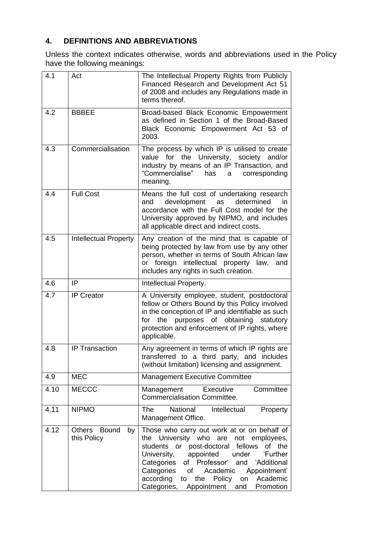# **4. DEFINITIONS AND ABBREVIATIONS**

Unless the context indicates otherwise, words and abbreviations used in the Policy have the following meanings:

| 4.1  | Act                               | The Intellectual Property Rights from Publicly<br>Financed Research and Development Act 51<br>of 2008 and includes any Regulations made in<br>terms thereof.                                                                                                                                                                                                           |
|------|-----------------------------------|------------------------------------------------------------------------------------------------------------------------------------------------------------------------------------------------------------------------------------------------------------------------------------------------------------------------------------------------------------------------|
| 4.2  | <b>BBBEE</b>                      | Broad-based Black Economic Empowerment<br>as defined in Section 1 of the Broad-Based<br>Black Economic Empowerment Act 53 of<br>2003.                                                                                                                                                                                                                                  |
| 4.3  | Commercialisation                 | The process by which IP is utilised to create<br>value for the University, society and/or<br>industry by means of an IP Transaction, and<br>"Commercialise"<br>has<br>corresponding<br>a<br>meaning.                                                                                                                                                                   |
| 4.4  | <b>Full Cost</b>                  | Means the full cost of undertaking research<br>development<br>determined<br>and<br>as<br>in.<br>accordance with the Full Cost model for the<br>University approved by NIPMO, and includes<br>all applicable direct and indirect costs.                                                                                                                                 |
| 4.5  | <b>Intellectual Property</b>      | Any creation of the mind that is capable of<br>being protected by law from use by any other<br>person, whether in terms of South African law<br>or foreign intellectual property law,<br>and<br>includes any rights in such creation.                                                                                                                                  |
| 4.6  | IP                                | Intellectual Property.                                                                                                                                                                                                                                                                                                                                                 |
| 4.7  | <b>IP Creator</b>                 | A University employee, student, postdoctoral<br>fellow or Others Bound by this Policy involved<br>in the conception of IP and identifiable as such<br>for the purposes of obtaining statutory<br>protection and enforcement of IP rights, where<br>applicable.                                                                                                         |
| 4.8  | <b>IP Transaction</b>             | Any agreement in terms of which IP rights are<br>transferred to a third party, and includes<br>(without limitation) licensing and assignment.                                                                                                                                                                                                                          |
| 4.9  | <b>MEC</b>                        | Management Executive Committee                                                                                                                                                                                                                                                                                                                                         |
| 4.10 | <b>MECCC</b>                      | Committee<br>Management<br>Executive<br><b>Commercialisation Committee.</b>                                                                                                                                                                                                                                                                                            |
| 4.11 | <b>NIPMO</b>                      | <b>The</b><br>National<br>Intellectual<br>Property<br>Management Office.                                                                                                                                                                                                                                                                                               |
| 4.12 | Others Bound<br>by<br>this Policy | Those who carry out work at or on behalf of<br>University who are not employees,<br>the<br>students or post-doctoral fellows of the<br>University,<br>under 'Further<br>appointed<br>Categories of Professor' and 'Additional<br>Categories<br>Academic<br>Appointment'<br>of<br>according to the Policy<br>Academic<br>on<br>Categories, Appointment and<br>Promotion |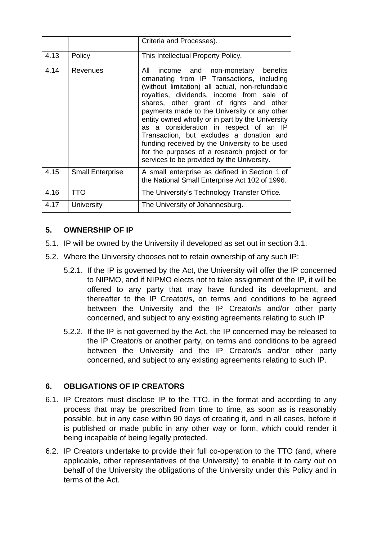|      |                         | Criteria and Processes).                                                                                                                                                                                                                                                                                                                                                                                                                                                                                                                                                  |
|------|-------------------------|---------------------------------------------------------------------------------------------------------------------------------------------------------------------------------------------------------------------------------------------------------------------------------------------------------------------------------------------------------------------------------------------------------------------------------------------------------------------------------------------------------------------------------------------------------------------------|
| 4.13 | Policy                  | This Intellectual Property Policy.                                                                                                                                                                                                                                                                                                                                                                                                                                                                                                                                        |
| 4.14 | Revenues                | income and non-monetary benefits<br>All<br>emanating from IP Transactions, including<br>(without limitation) all actual, non-refundable<br>royalties, dividends, income from sale of<br>shares, other grant of rights and other<br>payments made to the University or any other<br>entity owned wholly or in part by the University<br>as a consideration in respect of an IP<br>Transaction, but excludes a donation and<br>funding received by the University to be used<br>for the purposes of a research project or for<br>services to be provided by the University. |
| 4.15 | <b>Small Enterprise</b> | A small enterprise as defined in Section 1 of<br>the National Small Enterprise Act 102 of 1996.                                                                                                                                                                                                                                                                                                                                                                                                                                                                           |
| 4.16 | <b>TTO</b>              | The University's Technology Transfer Office.                                                                                                                                                                                                                                                                                                                                                                                                                                                                                                                              |
| 4.17 | University              | The University of Johannesburg.                                                                                                                                                                                                                                                                                                                                                                                                                                                                                                                                           |

### **5. OWNERSHIP OF IP**

- 5.1. IP will be owned by the University if developed as set out in section 3.1.
- 5.2. Where the University chooses not to retain ownership of any such IP:
	- 5.2.1. If the IP is governed by the Act, the University will offer the IP concerned to NIPMO, and if NIPMO elects not to take assignment of the IP, it will be offered to any party that may have funded its development, and thereafter to the IP Creator/s, on terms and conditions to be agreed between the University and the IP Creator/s and/or other party concerned, and subject to any existing agreements relating to such IP
	- 5.2.2. If the IP is not governed by the Act, the IP concerned may be released to the IP Creator/s or another party, on terms and conditions to be agreed between the University and the IP Creator/s and/or other party concerned, and subject to any existing agreements relating to such IP.

#### **6. OBLIGATIONS OF IP CREATORS**

- 6.1. IP Creators must disclose IP to the TTO, in the format and according to any process that may be prescribed from time to time, as soon as is reasonably possible, but in any case within 90 days of creating it, and in all cases, before it is published or made public in any other way or form, which could render it being incapable of being legally protected.
- 6.2. IP Creators undertake to provide their full co-operation to the TTO (and, where applicable, other representatives of the University) to enable it to carry out on behalf of the University the obligations of the University under this Policy and in terms of the Act.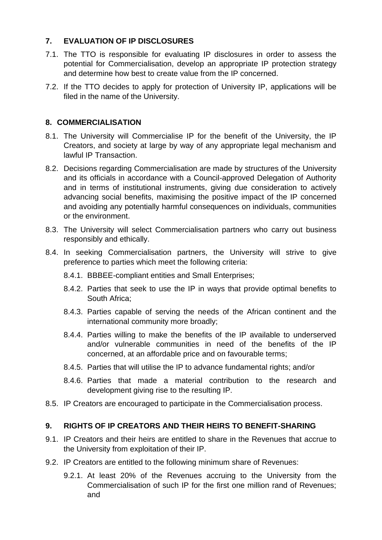# **7. EVALUATION OF IP DISCLOSURES**

- 7.1. The TTO is responsible for evaluating IP disclosures in order to assess the potential for Commercialisation, develop an appropriate IP protection strategy and determine how best to create value from the IP concerned.
- 7.2. If the TTO decides to apply for protection of University IP, applications will be filed in the name of the University.

### **8. COMMERCIALISATION**

- 8.1. The University will Commercialise IP for the benefit of the University, the IP Creators, and society at large by way of any appropriate legal mechanism and lawful IP Transaction.
- 8.2. Decisions regarding Commercialisation are made by structures of the University and its officials in accordance with a Council-approved Delegation of Authority and in terms of institutional instruments, giving due consideration to actively advancing social benefits, maximising the positive impact of the IP concerned and avoiding any potentially harmful consequences on individuals, communities or the environment.
- 8.3. The University will select Commercialisation partners who carry out business responsibly and ethically.
- 8.4. In seeking Commercialisation partners, the University will strive to give preference to parties which meet the following criteria:
	- 8.4.1. BBBEE-compliant entities and Small Enterprises;
	- 8.4.2. Parties that seek to use the IP in ways that provide optimal benefits to South Africa;
	- 8.4.3. Parties capable of serving the needs of the African continent and the international community more broadly;
	- 8.4.4. Parties willing to make the benefits of the IP available to underserved and/or vulnerable communities in need of the benefits of the IP concerned, at an affordable price and on favourable terms;
	- 8.4.5. Parties that will utilise the IP to advance fundamental rights; and/or
	- 8.4.6. Parties that made a material contribution to the research and development giving rise to the resulting IP.
- 8.5. IP Creators are encouraged to participate in the Commercialisation process.

### **9. RIGHTS OF IP CREATORS AND THEIR HEIRS TO BENEFIT-SHARING**

- 9.1. IP Creators and their heirs are entitled to share in the Revenues that accrue to the University from exploitation of their IP.
- 9.2. IP Creators are entitled to the following minimum share of Revenues:
	- 9.2.1. At least 20% of the Revenues accruing to the University from the Commercialisation of such IP for the first one million rand of Revenues; and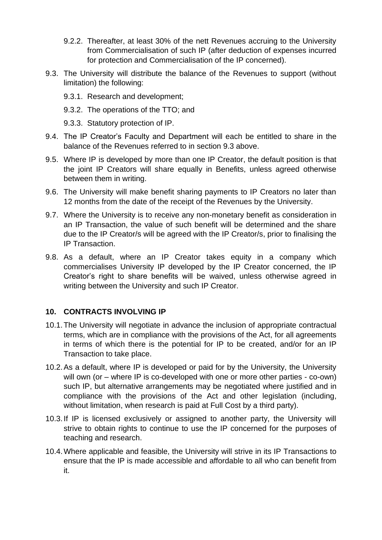- 9.2.2. Thereafter, at least 30% of the nett Revenues accruing to the University from Commercialisation of such IP (after deduction of expenses incurred for protection and Commercialisation of the IP concerned).
- 9.3. The University will distribute the balance of the Revenues to support (without limitation) the following:
	- 9.3.1. Research and development;
	- 9.3.2. The operations of the TTO; and
	- 9.3.3. Statutory protection of IP.
- 9.4. The IP Creator's Faculty and Department will each be entitled to share in the balance of the Revenues referred to in section 9.3 above.
- 9.5. Where IP is developed by more than one IP Creator, the default position is that the joint IP Creators will share equally in Benefits, unless agreed otherwise between them in writing.
- 9.6. The University will make benefit sharing payments to IP Creators no later than 12 months from the date of the receipt of the Revenues by the University.
- 9.7. Where the University is to receive any non-monetary benefit as consideration in an IP Transaction, the value of such benefit will be determined and the share due to the IP Creator/s will be agreed with the IP Creator/s, prior to finalising the IP Transaction.
- 9.8. As a default, where an IP Creator takes equity in a company which commercialises University IP developed by the IP Creator concerned, the IP Creator's right to share benefits will be waived, unless otherwise agreed in writing between the University and such IP Creator.

#### **10. CONTRACTS INVOLVING IP**

- 10.1.The University will negotiate in advance the inclusion of appropriate contractual terms, which are in compliance with the provisions of the Act, for all agreements in terms of which there is the potential for IP to be created, and/or for an IP Transaction to take place.
- 10.2.As a default, where IP is developed or paid for by the University, the University will own (or – where IP is co-developed with one or more other parties - co-own) such IP, but alternative arrangements may be negotiated where justified and in compliance with the provisions of the Act and other legislation (including, without limitation, when research is paid at Full Cost by a third party).
- 10.3.If IP is licensed exclusively or assigned to another party, the University will strive to obtain rights to continue to use the IP concerned for the purposes of teaching and research.
- 10.4.Where applicable and feasible, the University will strive in its IP Transactions to ensure that the IP is made accessible and affordable to all who can benefit from it.